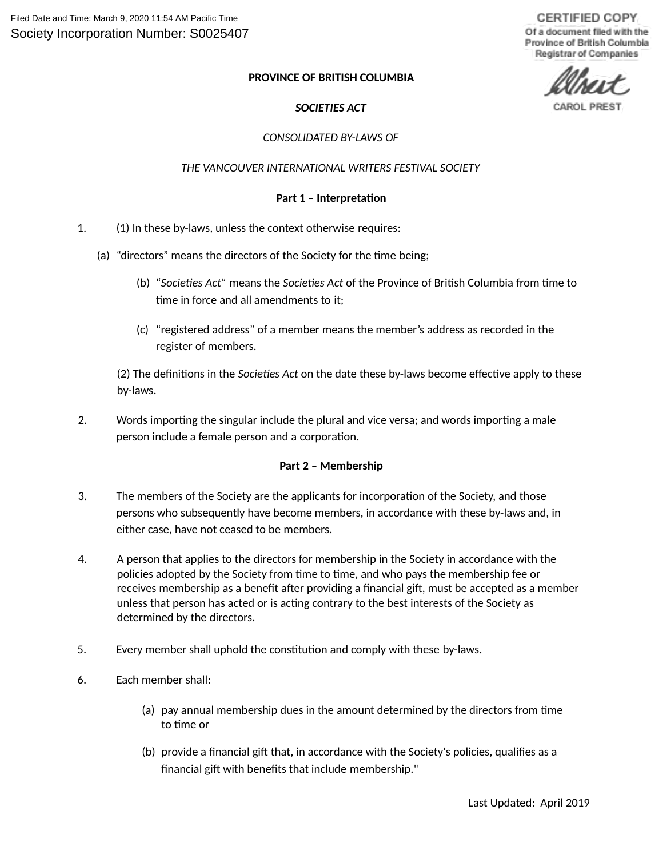**CERTIFIED COPY** Of a document filed with the Province of British Columbia Registrar of Companies

#### **PROVINCE OF BRITISH COLUMBIA**

# *SOCIETIES ACT*

#### *CONSOLIDATED BY-LAWS OF*

#### *THE VANCOUVER INTERNATIONAL WRITERS FESTIVAL SOCIETY*

#### **Part 1 – Interpretation**

- 1. (1) In these by-laws, unless the context otherwise requires:
	- (a) "directors" means the directors of the Society for the time being;
		- (b) "*Societies Act"* means the *Societies Act* of the Province of British Columbia from time to time in force and all amendments to it;
		- (c) "registered address" of a member means the member's address as recorded in the register of members.

(2) The definitions in the *Societies Act* on the date these by-laws become effective apply to these by-laws.

2. Words importing the singular include the plural and vice versa; and words importing a male person include a female person and a corporation.

#### **Part 2 – Membership**

- 3. The members of the Society are the applicants for incorporation of the Society, and those persons who subsequently have become members, in accordance with these by-laws and, in either case, have not ceased to be members.
- 4. A person that applies to the directors for membership in the Society in accordance with the policies adopted by the Society from time to time, and who pays the membership fee or receives membership as a benefit after providing a financial gift, must be accepted as a member unless that person has acted or is acting contrary to the best interests of the Society as determined by the directors.
- 5. Every member shall uphold the constitution and comply with these by-laws.
- 6. Each member shall:
	- (a) pay annual membership dues in the amount determined by the directors from time to time or
	- (b) provide a financial gift that, in accordance with the Society's policies, qualifies as a financial gift with benefits that include membership."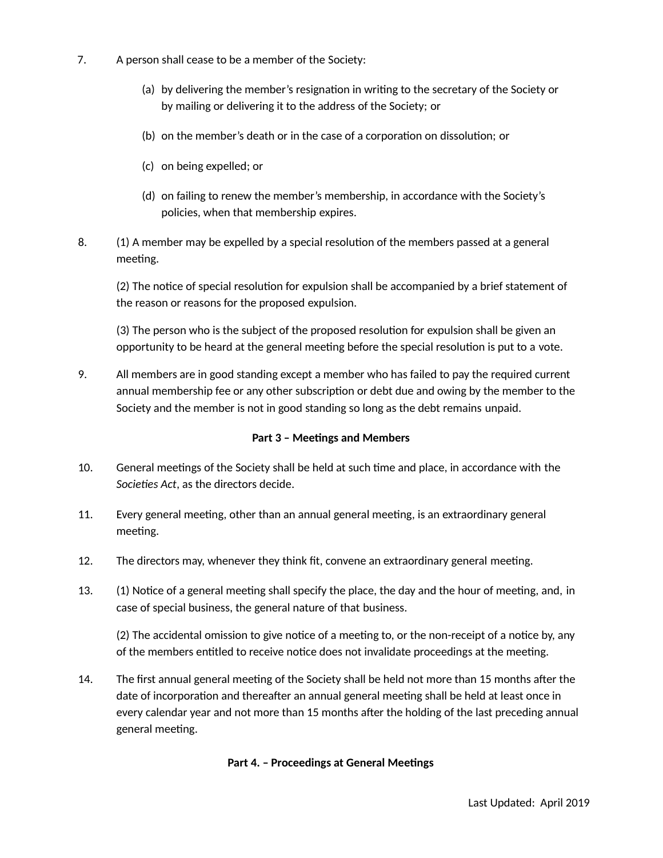- 7. A person shall cease to be a member of the Society:
	- (a) by delivering the member's resignation in writing to the secretary of the Society or by mailing or delivering it to the address of the Society; or
	- (b) on the member's death or in the case of a corporation on dissolution; or
	- (c) on being expelled; or
	- (d) on failing to renew the member's membership, in accordance with the Society's policies, when that membership expires.
- 8. (1) A member may be expelled by a special resolution of the members passed at a general meeting.

(2) The notice of special resolution for expulsion shall be accompanied by a brief statement of the reason or reasons for the proposed expulsion.

(3) The person who is the subject of the proposed resolution for expulsion shall be given an opportunity to be heard at the general meeting before the special resolution is put to a vote.

9. All members are in good standing except a member who has failed to pay the required current annual membership fee or any other subscription or debt due and owing by the member to the Society and the member is not in good standing so long as the debt remains unpaid.

## **Part 3 – Meetings and Members**

- 10. General meetings of the Society shall be held at such time and place, in accordance with the *Societies Act*, as the directors decide.
- 11. Every general meeting, other than an annual general meeting, is an extraordinary general meeting.
- 12. The directors may, whenever they think fit, convene an extraordinary general meeting.
- 13. (1) Notice of a general meeting shall specify the place, the day and the hour of meeting, and, in case of special business, the general nature of that business.

(2) The accidental omission to give notice of a meeting to, or the non-receipt of a notice by, any of the members entitled to receive notice does not invalidate proceedings at the meeting.

14. The first annual general meeting of the Society shall be held not more than 15 months after the date of incorporation and thereafter an annual general meeting shall be held at least once in every calendar year and not more than 15 months after the holding of the last preceding annual general meeting.

## **Part 4. – Proceedings at General Meetings**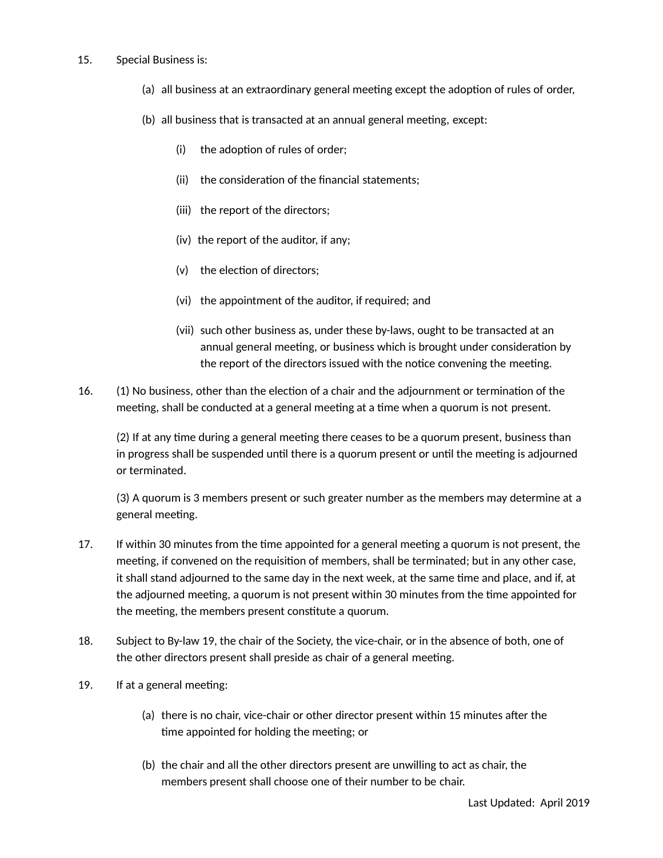#### 15. Special Business is:

- (a) all business at an extraordinary general meeting except the adoption of rules of order,
- (b) all business that is transacted at an annual general meeting, except:
	- (i) the adoption of rules of order;
	- (ii) the consideration of the financial statements;
	- (iii) the report of the directors;
	- (iv) the report of the auditor, if any;
	- (v) the election of directors;
	- (vi) the appointment of the auditor, if required; and
	- (vii) such other business as, under these by-laws, ought to be transacted at an annual general meeting, or business which is brought under consideration by the report of the directors issued with the notice convening the meeting.
- 16. (1) No business, other than the election of a chair and the adjournment or termination of the meeting, shall be conducted at a general meeting at a time when a quorum is not present.

(2) If at any time during a general meeting there ceases to be a quorum present, business than in progress shall be suspended until there is a quorum present or until the meeting is adjourned or terminated.

(3) A quorum is 3 members present or such greater number as the members may determine at a general meeting.

- 17. If within 30 minutes from the time appointed for a general meeting a quorum is not present, the meeting, if convened on the requisition of members, shall be terminated; but in any other case, it shall stand adjourned to the same day in the next week, at the same time and place, and if, at the adjourned meeting, a quorum is not present within 30 minutes from the time appointed for the meeting, the members present constitute a quorum.
- 18. Subject to By-law 19, the chair of the Society, the vice-chair, or in the absence of both, one of the other directors present shall preside as chair of a general meeting.
- 19. If at a general meeting:
	- (a) there is no chair, vice-chair or other director present within 15 minutes after the time appointed for holding the meeting; or
	- (b) the chair and all the other directors present are unwilling to act as chair, the members present shall choose one of their number to be chair.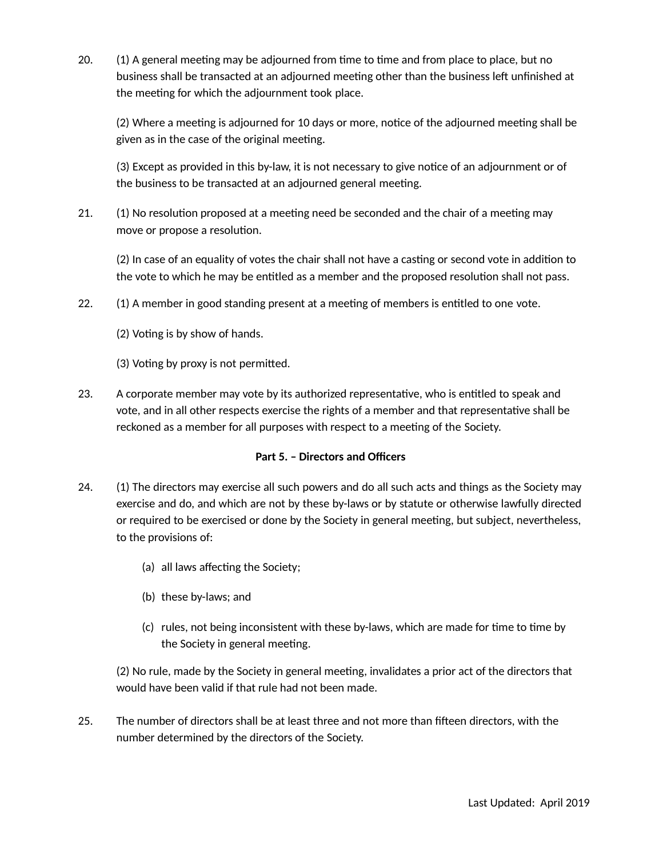20. (1) A general meeting may be adjourned from time to time and from place to place, but no business shall be transacted at an adjourned meeting other than the business left unfinished at the meeting for which the adjournment took place.

(2) Where a meeting is adjourned for 10 days or more, notice of the adjourned meeting shall be given as in the case of the original meeting.

(3) Except as provided in this by-law, it is not necessary to give notice of an adjournment or of the business to be transacted at an adjourned general meeting.

21. (1) No resolution proposed at a meeting need be seconded and the chair of a meeting may move or propose a resolution.

(2) In case of an equality of votes the chair shall not have a casting or second vote in addition to the vote to which he may be entitled as a member and the proposed resolution shall not pass.

- 22. (1) A member in good standing present at a meeting of members is entitled to one vote.
	- (2) Voting is by show of hands.
	- (3) Voting by proxy is not permitted.
- 23. A corporate member may vote by its authorized representative, who is entitled to speak and vote, and in all other respects exercise the rights of a member and that representative shall be reckoned as a member for all purposes with respect to a meeting of the Society.

## **Part 5. – Directors and Officers**

- 24. (1) The directors may exercise all such powers and do all such acts and things as the Society may exercise and do, and which are not by these by-laws or by statute or otherwise lawfully directed or required to be exercised or done by the Society in general meeting, but subject, nevertheless, to the provisions of:
	- (a) all laws affecting the Society;
	- (b) these by-laws; and
	- (c) rules, not being inconsistent with these by-laws, which are made for time to time by the Society in general meeting.

(2) No rule, made by the Society in general meeting, invalidates a prior act of the directors that would have been valid if that rule had not been made.

25. The number of directors shall be at least three and not more than fifteen directors, with the number determined by the directors of the Society.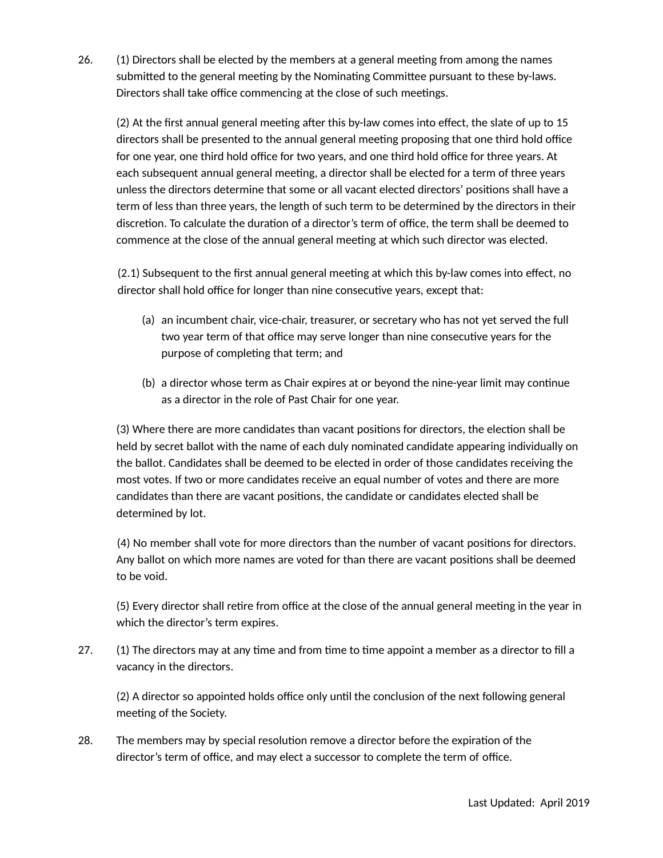26. (1) Directors shall be elected by the members at a general meeting from among the names submitted to the general meeting by the Nominating Committee pursuant to these by-laws. Directors shall take office commencing at the close of such meetings.

(2) At the first annual general meeting after this by-law comes into effect, the slate of up to 15 directors shall be presented to the annual general meeting proposing that one third hold office for one year, one third hold office for two years, and one third hold office for three years. At each subsequent annual general meeting, a director shall be elected for a term of three years unless the directors determine that some or all vacant elected directors' positions shall have a term of less than three years, the length of such term to be determined by the directors in their discretion. To calculate the duration of a director's term of office, the term shall be deemed to commence at the close of the annual general meeting at which such director was elected.

(2.1) Subsequent to the first annual general meeting at which this by-law comes into effect, no director shall hold office for longer than nine consecutive years, except that:

- (a) an incumbent chair, vice-chair, treasurer, or secretary who has not yet served the full two year term of that office may serve longer than nine consecutive years for the purpose of completing that term; and
- (b) a director whose term as Chair expires at or beyond the nine-year limit may continue as a director in the role of Past Chair for one year.

(3) Where there are more candidates than vacant positions for directors, the election shall be held by secret ballot with the name of each duly nominated candidate appearing individually on the ballot. Candidates shall be deemed to be elected in order of those candidates receiving the most votes. If two or more candidates receive an equal number of votes and there are more candidates than there are vacant positions, the candidate or candidates elected shall be determined by lot.

(4) No member shall vote for more directors than the number of vacant positions for directors. Any ballot on which more names are voted for than there are vacant positions shall be deemed to be void.

(5) Every director shall retire from office at the close of the annual general meeting in the year in which the director's term expires.

27. (1) The directors may at any time and from time to time appoint a member as a director to fill a vacancy in the directors.

(2) A director so appointed holds office only until the conclusion of the next following general meeting of the Society.

28. The members may by special resolution remove a director before the expiration of the director's term of office, and may elect a successor to complete the term of office.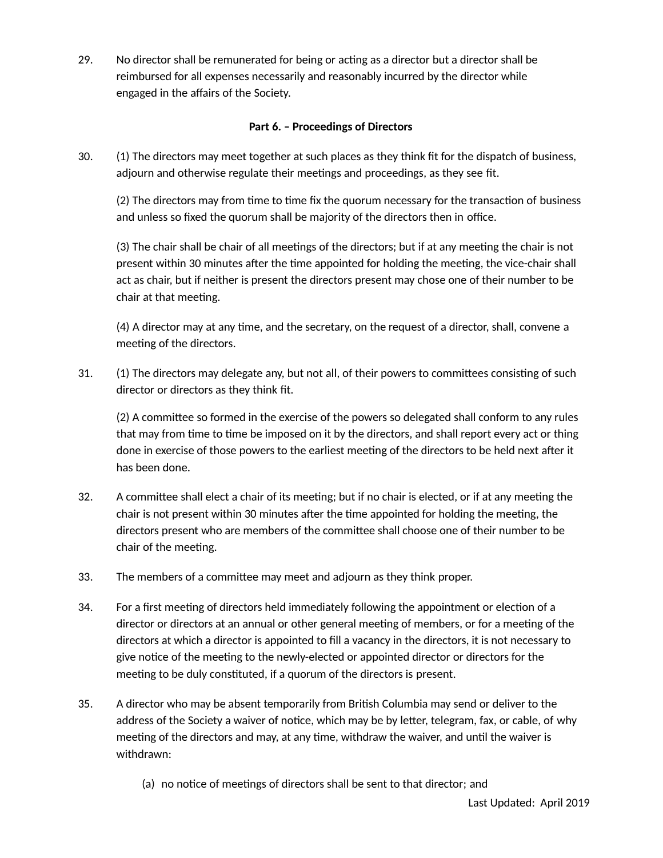29. No director shall be remunerated for being or acting as a director but a director shall be reimbursed for all expenses necessarily and reasonably incurred by the director while engaged in the affairs of the Society.

# **Part 6. – Proceedings of Directors**

30. (1) The directors may meet together at such places as they think fit for the dispatch of business, adjourn and otherwise regulate their meetings and proceedings, as they see fit.

(2) The directors may from time to time fix the quorum necessary for the transaction of business and unless so fixed the quorum shall be majority of the directors then in office.

(3) The chair shall be chair of all meetings of the directors; but if at any meeting the chair is not present within 30 minutes after the time appointed for holding the meeting, the vice-chair shall act as chair, but if neither is present the directors present may chose one of their number to be chair at that meeting.

(4) A director may at any time, and the secretary, on the request of a director, shall, convene a meeting of the directors.

31. (1) The directors may delegate any, but not all, of their powers to committees consisting of such director or directors as they think fit.

(2) A committee so formed in the exercise of the powers so delegated shall conform to any rules that may from time to time be imposed on it by the directors, and shall report every act or thing done in exercise of those powers to the earliest meeting of the directors to be held next after it has been done.

- 32. A committee shall elect a chair of its meeting; but if no chair is elected, or if at any meeting the chair is not present within 30 minutes after the time appointed for holding the meeting, the directors present who are members of the committee shall choose one of their number to be chair of the meeting.
- 33. The members of a committee may meet and adjourn as they think proper.
- 34. For a first meeting of directors held immediately following the appointment or election of a director or directors at an annual or other general meeting of members, or for a meeting of the directors at which a director is appointed to fill a vacancy in the directors, it is not necessary to give notice of the meeting to the newly-elected or appointed director or directors for the meeting to be duly constituted, if a quorum of the directors is present.
- 35. A director who may be absent temporarily from British Columbia may send or deliver to the address of the Society a waiver of notice, which may be by letter, telegram, fax, or cable, of why meeting of the directors and may, at any time, withdraw the waiver, and until the waiver is withdrawn:
	- (a) no notice of meetings of directors shall be sent to that director; and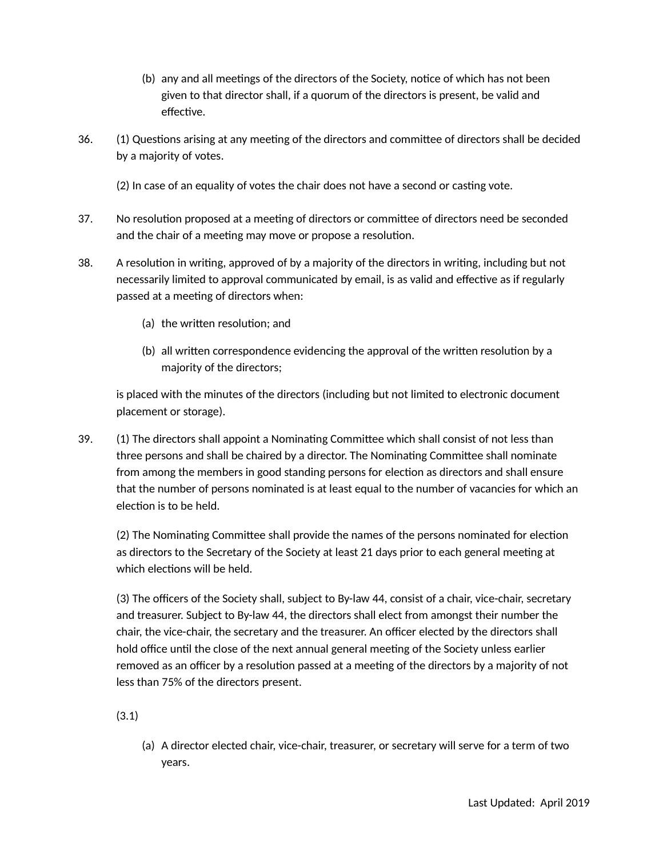- (b) any and all meetings of the directors of the Society, notice of which has not been given to that director shall, if a quorum of the directors is present, be valid and effective.
- 36. (1) Questions arising at any meeting of the directors and committee of directors shall be decided by a majority of votes.
	- (2) In case of an equality of votes the chair does not have a second or casting vote.
- 37. No resolution proposed at a meeting of directors or committee of directors need be seconded and the chair of a meeting may move or propose a resolution.
- 38. A resolution in writing, approved of by a majority of the directors in writing, including but not necessarily limited to approval communicated by email, is as valid and effective as if regularly passed at a meeting of directors when:
	- (a) the written resolution; and
	- (b) all written correspondence evidencing the approval of the written resolution by a majority of the directors;

is placed with the minutes of the directors (including but not limited to electronic document placement or storage).

39. (1) The directors shall appoint a Nominating Committee which shall consist of not less than three persons and shall be chaired by a director. The Nominating Committee shall nominate from among the members in good standing persons for election as directors and shall ensure that the number of persons nominated is at least equal to the number of vacancies for which an election is to be held.

(2) The Nominating Committee shall provide the names of the persons nominated for election as directors to the Secretary of the Society at least 21 days prior to each general meeting at which elections will be held.

(3) The officers of the Society shall, subject to By-law 44, consist of a chair, vice-chair, secretary and treasurer. Subject to By-law 44, the directors shall elect from amongst their number the chair, the vice-chair, the secretary and the treasurer. An officer elected by the directors shall hold office until the close of the next annual general meeting of the Society unless earlier removed as an officer by a resolution passed at a meeting of the directors by a majority of not less than 75% of the directors present.

(3.1)

(a) A director elected chair, vice-chair, treasurer, or secretary will serve for a term of two years.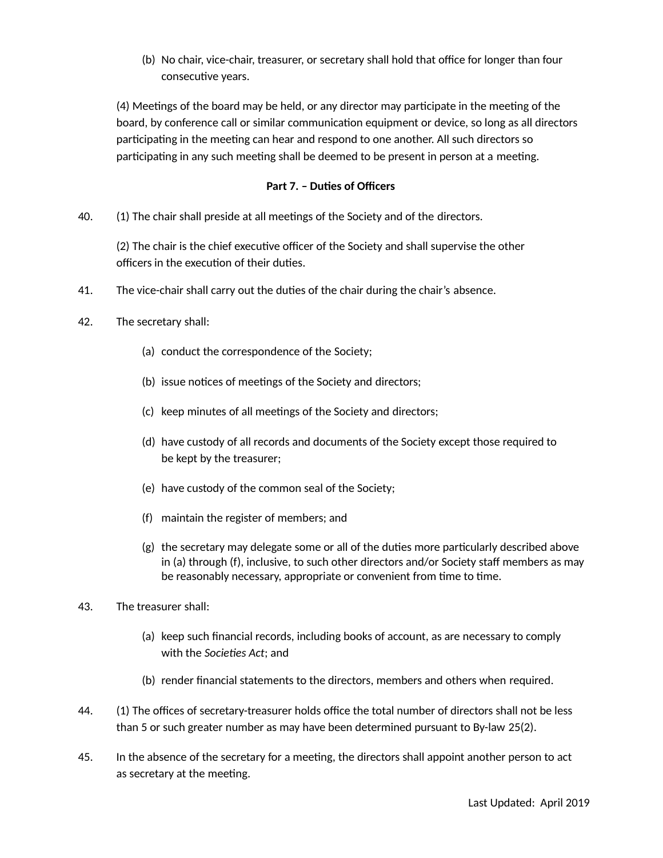(b) No chair, vice-chair, treasurer, or secretary shall hold that office for longer than four consecutive years.

(4) Meetings of the board may be held, or any director may participate in the meeting of the board, by conference call or similar communication equipment or device, so long as all directors participating in the meeting can hear and respond to one another. All such directors so participating in any such meeting shall be deemed to be present in person at a meeting.

## **Part 7. – Duties of Officers**

40. (1) The chair shall preside at all meetings of the Society and of the directors.

(2) The chair is the chief executive officer of the Society and shall supervise the other officers in the execution of their duties.

- 41. The vice-chair shall carry out the duties of the chair during the chair's absence.
- 42. The secretary shall:
	- (a) conduct the correspondence of the Society;
	- (b) issue notices of meetings of the Society and directors;
	- (c) keep minutes of all meetings of the Society and directors;
	- (d) have custody of all records and documents of the Society except those required to be kept by the treasurer;
	- (e) have custody of the common seal of the Society;
	- (f) maintain the register of members; and
	- (g) the secretary may delegate some or all of the duties more particularly described above in (a) through (f), inclusive, to such other directors and/or Society staff members as may be reasonably necessary, appropriate or convenient from time to time.
- 43. The treasurer shall:
	- (a) keep such financial records, including books of account, as are necessary to comply with the *Societies Act*; and
	- (b) render financial statements to the directors, members and others when required.
- 44. (1) The offices of secretary-treasurer holds office the total number of directors shall not be less than 5 or such greater number as may have been determined pursuant to By-law 25(2).
- 45. In the absence of the secretary for a meeting, the directors shall appoint another person to act as secretary at the meeting.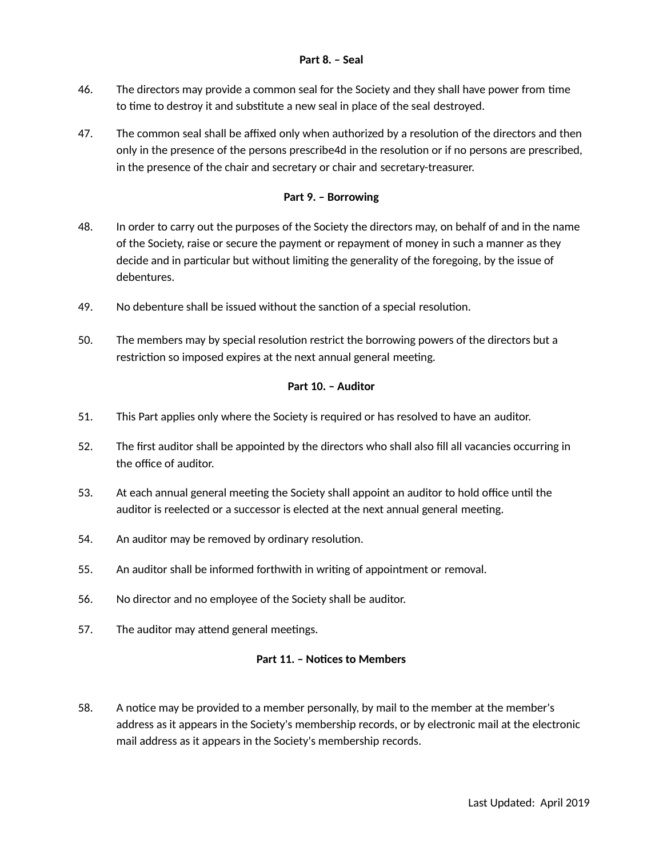### **Part 8. – Seal**

- 46. The directors may provide a common seal for the Society and they shall have power from time to time to destroy it and substitute a new seal in place of the seal destroyed.
- 47. The common seal shall be affixed only when authorized by a resolution of the directors and then only in the presence of the persons prescribe4d in the resolution or if no persons are prescribed, in the presence of the chair and secretary or chair and secretary-treasurer.

## **Part 9. – Borrowing**

- 48. In order to carry out the purposes of the Society the directors may, on behalf of and in the name of the Society, raise or secure the payment or repayment of money in such a manner as they decide and in particular but without limiting the generality of the foregoing, by the issue of debentures.
- 49. No debenture shall be issued without the sanction of a special resolution.
- 50. The members may by special resolution restrict the borrowing powers of the directors but a restriction so imposed expires at the next annual general meeting.

## **Part 10. – Auditor**

- 51. This Part applies only where the Society is required or has resolved to have an auditor.
- 52. The first auditor shall be appointed by the directors who shall also fill all vacancies occurring in the office of auditor.
- 53. At each annual general meeting the Society shall appoint an auditor to hold office until the auditor is reelected or a successor is elected at the next annual general meeting.
- 54. An auditor may be removed by ordinary resolution.
- 55. An auditor shall be informed forthwith in writing of appointment or removal.
- 56. No director and no employee of the Society shall be auditor.
- 57. The auditor may attend general meetings.

#### **Part 11. – Notices to Members**

58. A notice may be provided to a member personally, by mail to the member at the member's address as it appears in the Society's membership records, or by electronic mail at the electronic mail address as it appears in the Society's membership records.